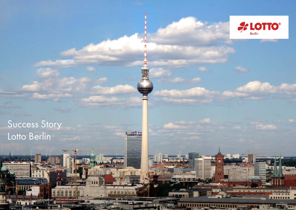

# Success Story Lotto Berlin

I II DENTAL

park inn

**BBBBBB**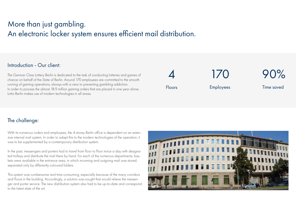### More than just gambling. An electronic locker system ensures efficient mail distribution.

#### Introduction - Our client:

The German Class Lottery Berlin is dedicated to the task of conducting lotteries and games of chance on behalf of the State of Berlin. Around 170 employees are committed to the smooth running of gaming operations, always with a view to preventing gambling addiction. In order to process the almost 18.9 million gaming orders that are placed in one year alone, Lotto Berlin makes use of modern technologies in all areas.

4 Floors

170 Employees

Time saved

90%

### The challenge:

With its numerous orders and employees, the 4-storey Berlin office is dependent on an extensive internal mail system. In order to adapt this to the modern technologies of the operation, it was to be supplemented by a contemporary distribution system.

In the past, messengers and porters had to travel from floor to floor twice a day with designated trolleys and distribute the mail there by hand. For each of the numerous departments, baskets were available in the entrance area, in which incoming and outgoing mail was stored, separated only by differently coloured folders.

This system was cumbersome and time-consuming, especially because of the many corridors and floors in the building. Accordingly, a solution was sought that would relieve the messenger and porter service. The new distribution system also had to be up-to-date and correspond to the latest state of the art.

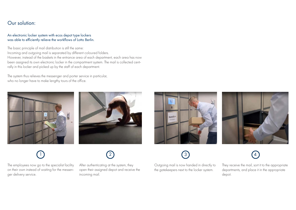#### Our solution:

#### An electronic locker system with ecos depot type lockers was able to efficiently relieve the workflows of Lotto Berlin.

The basic principle of mail distribution is still the same: Incoming and outgoing mail is separated by different coloured folders. However, instead of the baskets in the entrance area of each department, each area has now been assigned its own electronic locker in the compartment system. The mail is collected centrally in this locker and picked up by the staff of each department.

The system thus relieves the messenger and porter service in particular, who no longer have to make lengthy tours of the office.





The employees now go to the specialist facility on their own instead of waiting for the messenger delivery service.

After authenticating at the system, they open their assigned depot and receive the incoming mail.

Abmelden



 $\begin{pmatrix} 1 \end{pmatrix}$  (2) (3) (4)  $\left(3\right)$ 

> Outgoing mail is now handed in directly to the gatekeepers next to the locker system.



They receive the mail, sort it to the appropriate departments, and place it in the appropriate depot.